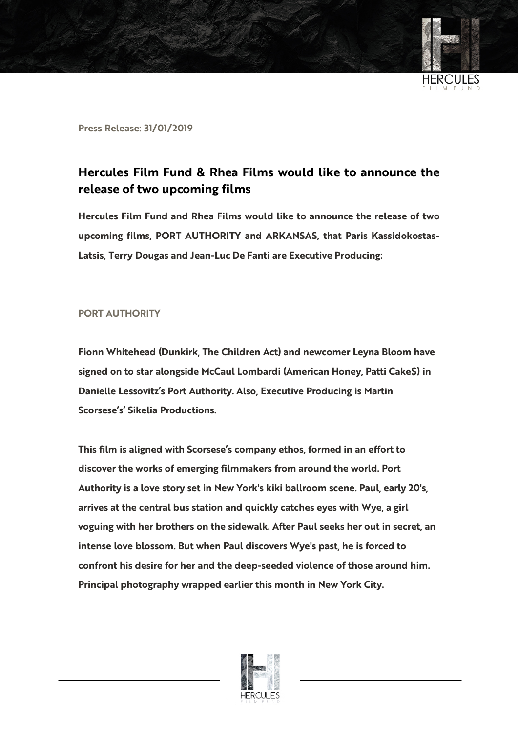

**Press Release: 31/01/2019**

## **Hercules Film Fund & Rhea Films would like to announce the release of two upcoming films**

**Hercules Film Fund and Rhea Films would like to announce the release of two upcoming films, PORT AUTHORITY and ARKANSAS, that Paris Kassidokostas-Latsis, Terry Dougas and Jean-Luc De Fanti are Executive Producing:**

## **PORT AUTHORITY**

**Fionn Whitehead (Dunkirk, The Children Act) and newcomer Leyna Bloom have signed on to star alongside McCaul Lombardi (American Honey, Patti Cake\$) in Danielle Lessovitz's Port Authority. Also, Executive Producing is Martin Scorsese's' Sikelia Productions.** 

**This film is aligned with Scorsese's company ethos, formed in an effort to discover the works of emerging filmmakers from around the world. Port Authority is a love story set in New York's kiki ballroom scene. Paul, early 20's, arrives at the central bus station and quickly catches eyes with Wye, a girl voguing with her brothers on the sidewalk. After Paul seeks her out in secret, an intense love blossom. But when Paul discovers Wye's past, he is forced to confront his desire for her and the deep-seeded violence of those around him. Principal photography wrapped earlier this month in New York City.**